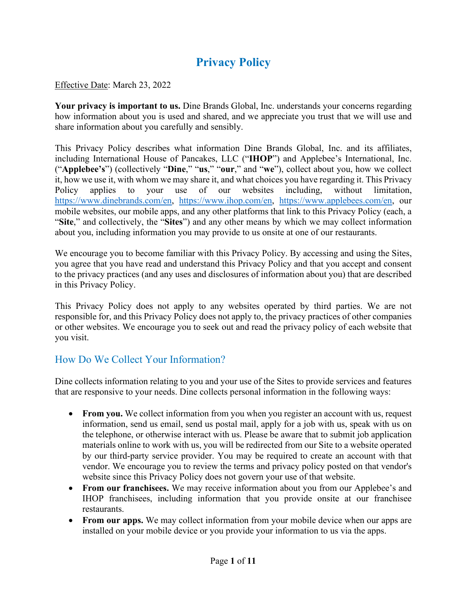# **Privacy Policy**

#### Effective Date: March 23, 2022

Your privacy is important to us. Dine Brands Global, Inc. understands your concerns regarding how information about you is used and shared, and we appreciate you trust that we will use and share information about you carefully and sensibly.

This Privacy Policy describes what information Dine Brands Global, Inc. and its affiliates, including International House of Pancakes, LLC ("**IHOP**") and Applebee's International, Inc. ("**Applebee's**") (collectively "**Dine**," "**us**," "**our**," and "**we**"), collect about you, how we collect it, how we use it, with whom we may share it, and what choices you have regarding it. This Privacy Policy applies to your use of our websites including, without limitation, [https://www.dinebrands.com/en,](https://www.dinebrands.com/en) [https://www.ihop.com/en,](https://www.ihop.com/en) [https://www.applebees.com/en,](https://www.applebees.com/en) our mobile websites, our mobile apps, and any other platforms that link to this Privacy Policy (each, a "**Site**," and collectively, the "**Sites**") and any other means by which we may collect information about you, including information you may provide to us onsite at one of our restaurants.

We encourage you to become familiar with this Privacy Policy. By accessing and using the Sites, you agree that you have read and understand this Privacy Policy and that you accept and consent to the privacy practices (and any uses and disclosures of information about you) that are described in this Privacy Policy.

This Privacy Policy does not apply to any websites operated by third parties. We are not responsible for, and this Privacy Policy does not apply to, the privacy practices of other companies or other websites. We encourage you to seek out and read the privacy policy of each website that you visit.

# How Do We Collect Your Information?

Dine collects information relating to you and your use of the Sites to provide services and features that are responsive to your needs. Dine collects personal information in the following ways:

- From you. We collect information from you when you register an account with us, request information, send us email, send us postal mail, apply for a job with us, speak with us on the telephone, or otherwise interact with us. Please be aware that to submit job application materials online to work with us, you will be redirected from our Site to a website operated by our third-party service provider. You may be required to create an account with that vendor. We encourage you to review the terms and privacy policy posted on that vendor's website since this Privacy Policy does not govern your use of that website.
- **From our franchisees.** We may receive information about you from our Applebee's and IHOP franchisees, including information that you provide onsite at our franchisee restaurants.
- **From our apps.** We may collect information from your mobile device when our apps are installed on your mobile device or you provide your information to us via the apps.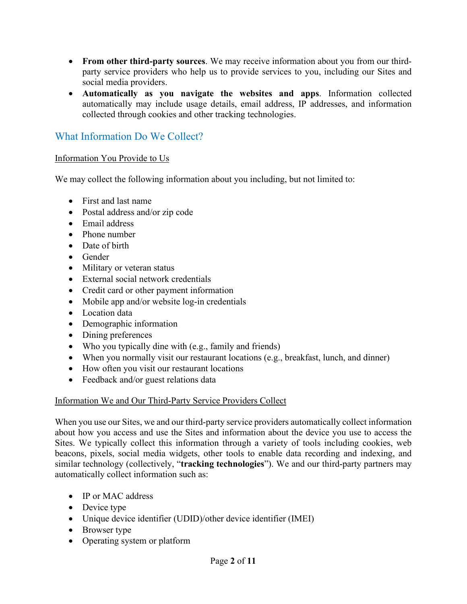- **From other third-party sources**. We may receive information about you from our thirdparty service providers who help us to provide services to you, including our Sites and social media providers.
- **Automatically as you navigate the websites and apps**. Information collected automatically may include usage details, email address, IP addresses, and information collected through cookies and other tracking technologies.

# What Information Do We Collect?

#### Information You Provide to Us

We may collect the following information about you including, but not limited to:

- First and last name
- Postal address and/or zip code
- Email address
- Phone number
- Date of birth
- Gender
- Military or veteran status
- External social network credentials
- Credit card or other payment information
- Mobile app and/or website log-in credentials
- Location data
- Demographic information
- Dining preferences
- Who you typically dine with (e.g., family and friends)
- When you normally visit our restaurant locations (e.g., breakfast, lunch, and dinner)
- How often you visit our restaurant locations
- Feedback and/or guest relations data

#### Information We and Our Third-Party Service Providers Collect

When you use our Sites, we and our third-party service providers automatically collect information about how you access and use the Sites and information about the device you use to access the Sites. We typically collect this information through a variety of tools including cookies, web beacons, pixels, social media widgets, other tools to enable data recording and indexing, and similar technology (collectively, "**tracking technologies**"). We and our third-party partners may automatically collect information such as:

- IP or MAC address
- Device type
- Unique device identifier (UDID)/other device identifier (IMEI)
- Browser type
- Operating system or platform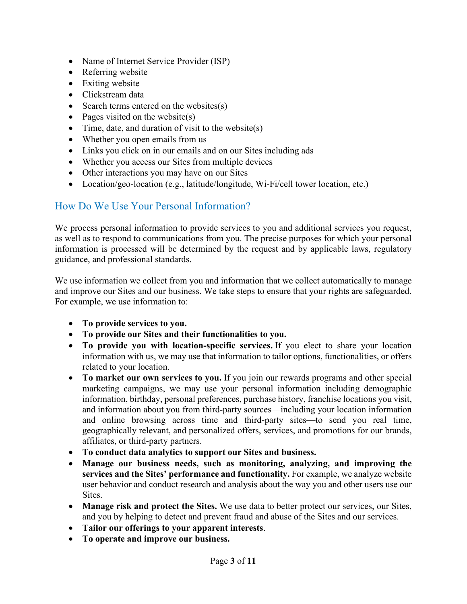- Name of Internet Service Provider (ISP)
- Referring website
- Exiting website
- Clickstream data
- Search terms entered on the websites(s)
- Pages visited on the website(s)
- Time, date, and duration of visit to the website(s)
- Whether you open emails from us
- Links you click on in our emails and on our Sites including ads
- Whether you access our Sites from multiple devices
- Other interactions you may have on our Sites
- Location/geo-location (e.g., latitude/longitude, Wi-Fi/cell tower location, etc.)

# How Do We Use Your Personal Information?

We process personal information to provide services to you and additional services you request, as well as to respond to communications from you. The precise purposes for which your personal information is processed will be determined by the request and by applicable laws, regulatory guidance, and professional standards.

We use information we collect from you and information that we collect automatically to manage and improve our Sites and our business. We take steps to ensure that your rights are safeguarded. For example, we use information to:

- **To provide services to you.**
- **To provide our Sites and their functionalities to you.**
- **To provide you with location-specific services.** If you elect to share your location information with us, we may use that information to tailor options, functionalities, or offers related to your location.
- **To market our own services to you.** If you join our rewards programs and other special marketing campaigns, we may use your personal information including demographic information, birthday, personal preferences, purchase history, franchise locations you visit, and information about you from third-party sources—including your location information and online browsing across time and third-party sites—to send you real time, geographically relevant, and personalized offers, services, and promotions for our brands, affiliates, or third-party partners.
- **To conduct data analytics to support our Sites and business.**
- **Manage our business needs, such as monitoring, analyzing, and improving the services and the Sites' performance and functionality.** For example, we analyze website user behavior and conduct research and analysis about the way you and other users use our Sites.
- **Manage risk and protect the Sites.** We use data to better protect our services, our Sites, and you by helping to detect and prevent fraud and abuse of the Sites and our services.
- **Tailor our offerings to your apparent interests**.
- **To operate and improve our business.**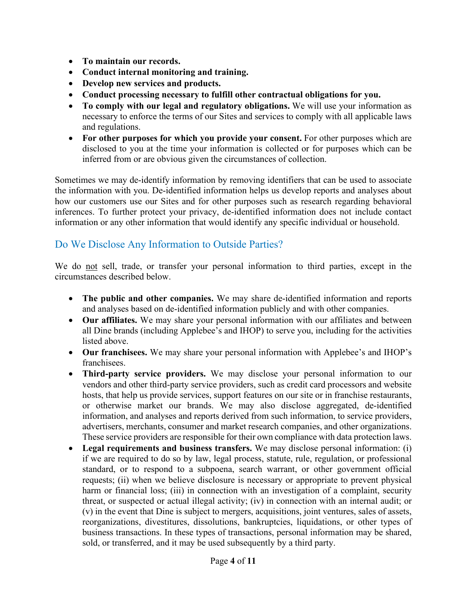- **To maintain our records.**
- **Conduct internal monitoring and training.**
- **Develop new services and products.**
- **Conduct processing necessary to fulfill other contractual obligations for you.**
- **To comply with our legal and regulatory obligations.** We will use your information as necessary to enforce the terms of our Sites and services to comply with all applicable laws and regulations.
- **For other purposes for which you provide your consent.** For other purposes which are disclosed to you at the time your information is collected or for purposes which can be inferred from or are obvious given the circumstances of collection.

Sometimes we may de-identify information by removing identifiers that can be used to associate the information with you. De-identified information helps us develop reports and analyses about how our customers use our Sites and for other purposes such as research regarding behavioral inferences. To further protect your privacy, de-identified information does not include contact information or any other information that would identify any specific individual or household.

# Do We Disclose Any Information to Outside Parties?

We do not sell, trade, or transfer your personal information to third parties, except in the circumstances described below.

- **The public and other companies.** We may share de-identified information and reports and analyses based on de-identified information publicly and with other companies.
- **Our affiliates.** We may share your personal information with our affiliates and between all Dine brands (including Applebee's and IHOP) to serve you, including for the activities listed above.
- **Our franchisees.** We may share your personal information with Applebee's and IHOP's franchisees.
- **Third-party service providers.** We may disclose your personal information to our vendors and other third-party service providers, such as credit card processors and website hosts, that help us provide services, support features on our site or in franchise restaurants, or otherwise market our brands. We may also disclose aggregated, de-identified information, and analyses and reports derived from such information, to service providers, advertisers, merchants, consumer and market research companies, and other organizations. These service providers are responsible for their own compliance with data protection laws.
- **Legal requirements and business transfers.** We may disclose personal information: (i) if we are required to do so by law, legal process, statute, rule, regulation, or professional standard, or to respond to a subpoena, search warrant, or other government official requests; (ii) when we believe disclosure is necessary or appropriate to prevent physical harm or financial loss; (iii) in connection with an investigation of a complaint, security threat, or suspected or actual illegal activity; (iv) in connection with an internal audit; or (v) in the event that Dine is subject to mergers, acquisitions, joint ventures, sales of assets, reorganizations, divestitures, dissolutions, bankruptcies, liquidations, or other types of business transactions. In these types of transactions, personal information may be shared, sold, or transferred, and it may be used subsequently by a third party.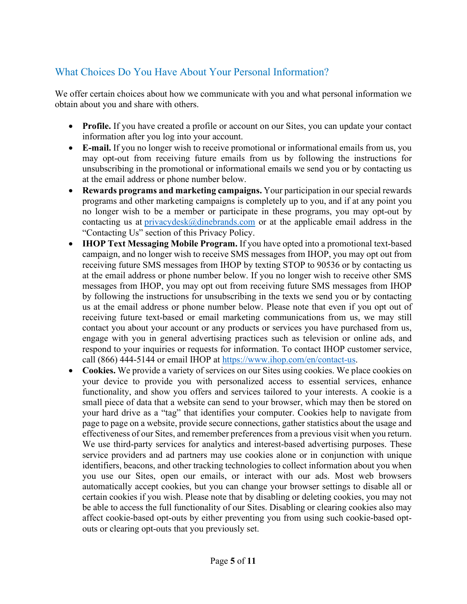# What Choices Do You Have About Your Personal Information?

We offer certain choices about how we communicate with you and what personal information we obtain about you and share with others.

- **Profile.** If you have created a profile or account on our Sites, you can update your contact information after you log into your account.
- **E-mail.** If you no longer wish to receive promotional or informational emails from us, you may opt-out from receiving future emails from us by following the instructions for unsubscribing in the promotional or informational emails we send you or by contacting us at the email address or phone number below.
- **Rewards programs and marketing campaigns.** Your participation in our special rewards programs and other marketing campaigns is completely up to you, and if at any point you no longer wish to be a member or participate in these programs, you may opt-out by contacting us at privacydesk $@$ dinebrands.com or at the applicable email address in the "Contacting Us" section of this Privacy Policy.
- **IHOP Text Messaging Mobile Program.** If you have opted into a promotional text-based campaign, and no longer wish to receive SMS messages from IHOP, you may opt out from receiving future SMS messages from IHOP by texting STOP to 90536 or by contacting us at the email address or phone number below. If you no longer wish to receive other SMS messages from IHOP, you may opt out from receiving future SMS messages from IHOP by following the instructions for unsubscribing in the texts we send you or by contacting us at the email address or phone number below. Please note that even if you opt out of receiving future text-based or email marketing communications from us, we may still contact you about your account or any products or services you have purchased from us, engage with you in general advertising practices such as television or online ads, and respond to your inquiries or requests for information. To contact IHOP customer service, call (866) 444-5144 or email IHOP at [https://www.ihop.com/en/contact-us.](https://www.ihop.com/en/contact-us)
- Cookies. We provide a variety of services on our Sites using cookies. We place cookies on your device to provide you with personalized access to essential services, enhance functionality, and show you offers and services tailored to your interests. A cookie is a small piece of data that a website can send to your browser, which may then be stored on your hard drive as a "tag" that identifies your computer. Cookies help to navigate from page to page on a website, provide secure connections, gather statistics about the usage and effectiveness of our Sites, and remember preferences from a previous visit when you return. We use third-party services for analytics and interest-based advertising purposes. These service providers and ad partners may use cookies alone or in conjunction with unique identifiers, beacons, and other tracking technologies to collect information about you when you use our Sites, open our emails, or interact with our ads. Most web browsers automatically accept cookies, but you can change your browser settings to disable all or certain cookies if you wish. Please note that by disabling or deleting cookies, you may not be able to access the full functionality of our Sites. Disabling or clearing cookies also may affect cookie-based opt-outs by either preventing you from using such cookie-based optouts or clearing opt-outs that you previously set.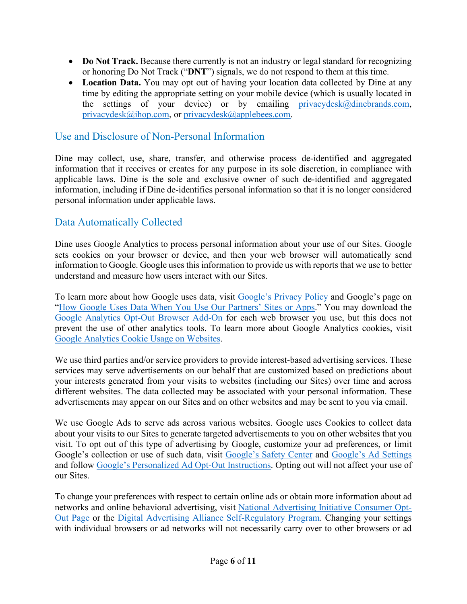- **Do Not Track.** Because there currently is not an industry or legal standard for recognizing or honoring Do Not Track ("**DNT**") signals, we do not respond to them at this time.
- **Location Data.** You may opt out of having your location data collected by Dine at any time by editing the appropriate setting on your mobile device (which is usually located in the settings of your device) or by emailing privacydesk $@d$ inebrands.com, [privacydesk@ihop.com,](mailto:privacydesk@ihop.com) or [privacydesk@applebees.com.](mailto:privacydesk@applebees.com)

### Use and Disclosure of Non-Personal Information

Dine may collect, use, share, transfer, and otherwise process de-identified and aggregated information that it receives or creates for any purpose in its sole discretion, in compliance with applicable laws. Dine is the sole and exclusive owner of such de-identified and aggregated information, including if Dine de-identifies personal information so that it is no longer considered personal information under applicable laws.

# Data Automatically Collected

Dine uses Google Analytics to process personal information about your use of our Sites. Google sets cookies on your browser or device, and then your web browser will automatically send information to Google. Google uses this information to provide us with reports that we use to better understand and measure how users interact with our Sites.

To learn more about how Google uses data, visit [Google's Privacy Policy](http://www.google.com/policies/privacy) and Google's page on ["How Google Uses Data When You Use Our Partners' Sites or Apps.](http://www.google.com/policies/privacy/partners)" You may download the [Google Analytics Opt-Out Browser Add-On](https://tools.google.com/dlpage/gaoptout) for each web browser you use, but this does not prevent the use of other analytics tools. To learn more about Google Analytics cookies, visit [Google Analytics Cookie Usage on Websites.](https://developers.google.com/analytics/devguides/collection/analyticsjs/cookie-usage)

We use third parties and/or service providers to provide interest-based advertising services. These services may serve advertisements on our behalf that are customized based on predictions about your interests generated from your visits to websites (including our Sites) over time and across different websites. The data collected may be associated with your personal information. These advertisements may appear on our Sites and on other websites and may be sent to you via email.

We use Google Ads to serve ads across various websites. Google uses Cookies to collect data about your visits to our Sites to generate targeted advertisements to you on other websites that you visit. To opt out of this type of advertising by Google, customize your ad preferences, or limit Google's collection or use of such data, visit [Google's Safety Center](https://safety.google/) and [Google's Ad Settings](https://adssettings.google.com/authenticated) and follow [Google's Personalized Ad Opt-Out Instructions.](https://support.google.com/ads/answer/2662922?hl=en&ref_topic=7048998) Opting out will not affect your use of our Sites.

To change your preferences with respect to certain online ads or obtain more information about ad networks and online behavioral advertising, visit [National Advertising Initiative Consumer Opt-](http://www.networkadvertising.org/choices)[Out Page](http://www.networkadvertising.org/choices) or the [Digital Advertising Alliance Self-Regulatory Program.](http://www.aboutads.info/) Changing your settings with individual browsers or ad networks will not necessarily carry over to other browsers or ad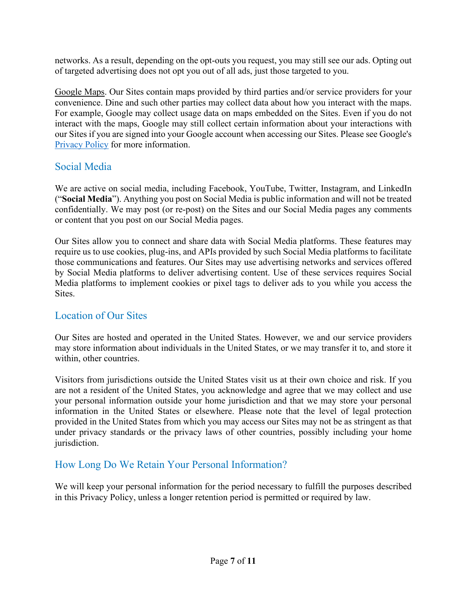networks. As a result, depending on the opt-outs you request, you may still see our ads. Opting out of targeted advertising does not opt you out of all ads, just those targeted to you.

Google Maps. Our Sites contain maps provided by third parties and/or service providers for your convenience. Dine and such other parties may collect data about how you interact with the maps. For example, Google may collect usage data on maps embedded on the Sites. Even if you do not interact with the maps, Google may still collect certain information about your interactions with our Sites if you are signed into your Google account when accessing our Sites. Please see Google's [Privacy Policy](https://policies.google.com/privacy) for more information.

#### Social Media

We are active on social media, including Facebook, YouTube, Twitter, Instagram, and LinkedIn ("**Social Media**"). Anything you post on Social Media is public information and will not be treated confidentially. We may post (or re-post) on the Sites and our Social Media pages any comments or content that you post on our Social Media pages.

Our Sites allow you to connect and share data with Social Media platforms. These features may require us to use cookies, plug-ins, and APIs provided by such Social Media platforms to facilitate those communications and features. Our Sites may use advertising networks and services offered by Social Media platforms to deliver advertising content. Use of these services requires Social Media platforms to implement cookies or pixel tags to deliver ads to you while you access the Sites.

#### Location of Our Sites

Our Sites are hosted and operated in the United States. However, we and our service providers may store information about individuals in the United States, or we may transfer it to, and store it within, other countries.

Visitors from jurisdictions outside the United States visit us at their own choice and risk. If you are not a resident of the United States, you acknowledge and agree that we may collect and use your personal information outside your home jurisdiction and that we may store your personal information in the United States or elsewhere. Please note that the level of legal protection provided in the United States from which you may access our Sites may not be as stringent as that under privacy standards or the privacy laws of other countries, possibly including your home jurisdiction.

# How Long Do We Retain Your Personal Information?

We will keep your personal information for the period necessary to fulfill the purposes described in this Privacy Policy, unless a longer retention period is permitted or required by law.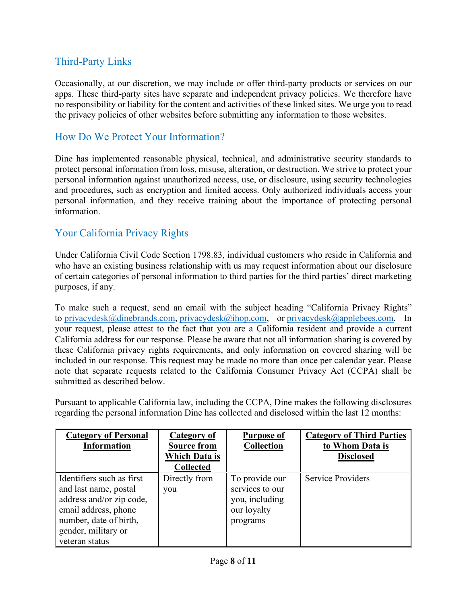# Third-Party Links

Occasionally, at our discretion, we may include or offer third-party products or services on our apps. These third-party sites have separate and independent privacy policies. We therefore have no responsibility or liability for the content and activities of these linked sites. We urge you to read the privacy policies of other websites before submitting any information to those websites.

#### How Do We Protect Your Information?

Dine has implemented reasonable physical, technical, and administrative security standards to protect personal information from loss, misuse, alteration, or destruction. We strive to protect your personal information against unauthorized access, use, or disclosure, using security technologies and procedures, such as encryption and limited access. Only authorized individuals access your personal information, and they receive training about the importance of protecting personal information.

# Your California Privacy Rights

Under California Civil Code Section 1798.83, individual customers who reside in California and who have an existing business relationship with us may request information about our disclosure of certain categories of personal information to third parties for the third parties' direct marketing purposes, if any.

To make such a request, send an email with the subject heading "California Privacy Rights" to [privacydesk@dinebrands.com,](mailto:privacydesk@dinebrands.com) [privacydesk@ihop.com,](mailto:privacydesk@ihop.com) or [privacydesk@applebees.com.](mailto:privacydesk@applebees.com) In your request, please attest to the fact that you are a California resident and provide a current California address for our response. Please be aware that not all information sharing is covered by these California privacy rights requirements, and only information on covered sharing will be included in our response. This request may be made no more than once per calendar year. Please note that separate requests related to the California Consumer Privacy Act (CCPA) shall be submitted as described below.

Pursuant to applicable California law, including the CCPA, Dine makes the following disclosures regarding the personal information Dine has collected and disclosed within the last 12 months:

| <b>Category of Personal</b><br><b>Information</b>                                                                                                                         | <b>Category of</b><br><b>Source from</b><br><b>Which Data is</b><br><b>Collected</b> | <b>Purpose of</b><br><b>Collection</b>                                         | <b>Category of Third Parties</b><br>to Whom Data is<br><b>Disclosed</b> |
|---------------------------------------------------------------------------------------------------------------------------------------------------------------------------|--------------------------------------------------------------------------------------|--------------------------------------------------------------------------------|-------------------------------------------------------------------------|
| Identifiers such as first<br>and last name, postal<br>address and/or zip code,<br>email address, phone<br>number, date of birth,<br>gender, military or<br>veteran status | Directly from<br>you                                                                 | To provide our<br>services to our<br>you, including<br>our loyalty<br>programs | <b>Service Providers</b>                                                |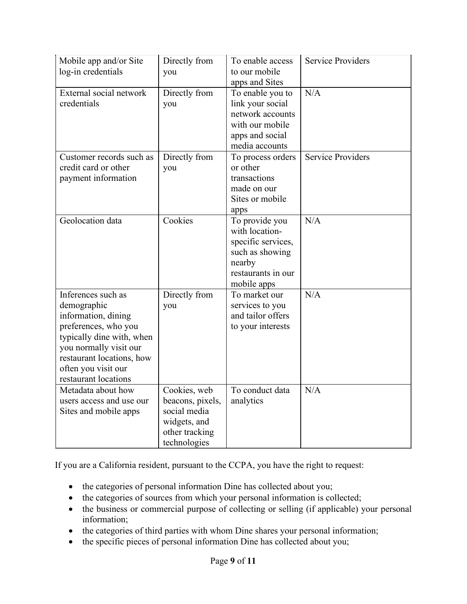| Mobile app and/or Site<br>log-in credentials                                                                                                                                                                        | Directly from<br>you                                                                               | To enable access<br>to our mobile<br>apps and Sites                                                                      | <b>Service Providers</b> |
|---------------------------------------------------------------------------------------------------------------------------------------------------------------------------------------------------------------------|----------------------------------------------------------------------------------------------------|--------------------------------------------------------------------------------------------------------------------------|--------------------------|
| External social network<br>credentials                                                                                                                                                                              | Directly from<br>you                                                                               | To enable you to<br>link your social<br>network accounts<br>with our mobile<br>apps and social<br>media accounts         | N/A                      |
| Customer records such as<br>credit card or other<br>payment information                                                                                                                                             | Directly from<br>you                                                                               | To process orders<br>or other<br>transactions<br>made on our<br>Sites or mobile<br>apps                                  | <b>Service Providers</b> |
| Geolocation data                                                                                                                                                                                                    | Cookies                                                                                            | To provide you<br>with location-<br>specific services,<br>such as showing<br>nearby<br>restaurants in our<br>mobile apps | N/A                      |
| Inferences such as<br>demographic<br>information, dining<br>preferences, who you<br>typically dine with, when<br>you normally visit our<br>restaurant locations, how<br>often you visit our<br>restaurant locations | Directly from<br>you                                                                               | To market our<br>services to you<br>and tailor offers<br>to your interests                                               | N/A                      |
| Metadata about how<br>users access and use our<br>Sites and mobile apps                                                                                                                                             | Cookies, web<br>beacons, pixels,<br>social media<br>widgets, and<br>other tracking<br>technologies | To conduct data<br>analytics                                                                                             | N/A                      |

If you are a California resident, pursuant to the CCPA, you have the right to request:

- the categories of personal information Dine has collected about you;
- the categories of sources from which your personal information is collected;
- the business or commercial purpose of collecting or selling (if applicable) your personal information;
- the categories of third parties with whom Dine shares your personal information;
- the specific pieces of personal information Dine has collected about you;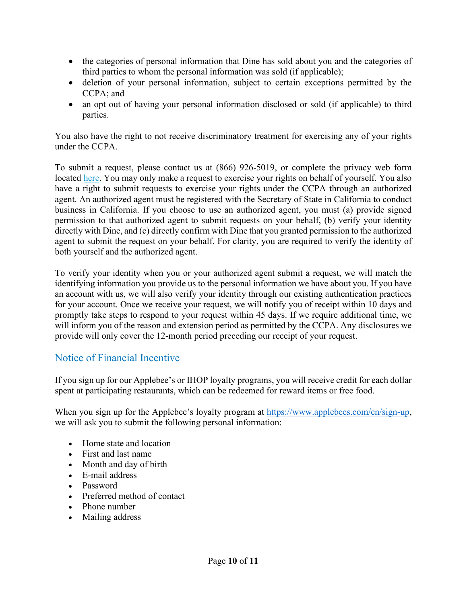- the categories of personal information that Dine has sold about you and the categories of third parties to whom the personal information was sold (if applicable);
- deletion of your personal information, subject to certain exceptions permitted by the CCPA; and
- an opt out of having your personal information disclosed or sold (if applicable) to third parties.

You also have the right to not receive discriminatory treatment for exercising any of your rights under the CCPA.

To submit a request, please contact us at (866) 926-5019, or complete the privacy web form located [here.](https://submit-irm.trustarc.com/services/validation/b25a3a52-528a-4278-9c30-3de1e330a10b) You may only make a request to exercise your rights on behalf of yourself. You also have a right to submit requests to exercise your rights under the CCPA through an authorized agent. An authorized agent must be registered with the Secretary of State in California to conduct business in California. If you choose to use an authorized agent, you must (a) provide signed permission to that authorized agent to submit requests on your behalf, (b) verify your identity directly with Dine, and (c) directly confirm with Dine that you granted permission to the authorized agent to submit the request on your behalf. For clarity, you are required to verify the identity of both yourself and the authorized agent.

To verify your identity when you or your authorized agent submit a request, we will match the identifying information you provide us to the personal information we have about you. If you have an account with us, we will also verify your identity through our existing authentication practices for your account. Once we receive your request, we will notify you of receipt within 10 days and promptly take steps to respond to your request within 45 days. If we require additional time, we will inform you of the reason and extension period as permitted by the CCPA. Any disclosures we provide will only cover the 12-month period preceding our receipt of your request.

# Notice of Financial Incentive

If you sign up for our Applebee's or IHOP loyalty programs, you will receive credit for each dollar spent at participating restaurants, which can be redeemed for reward items or free food.

When you sign up for the Applebee's loyalty program at [https://www.applebees.com/en/sign-up,](https://www.applebees.com/en/sign-up) we will ask you to submit the following personal information:

- Home state and location
- First and last name
- Month and day of birth
- E-mail address
- Password
- Preferred method of contact
- Phone number
- Mailing address